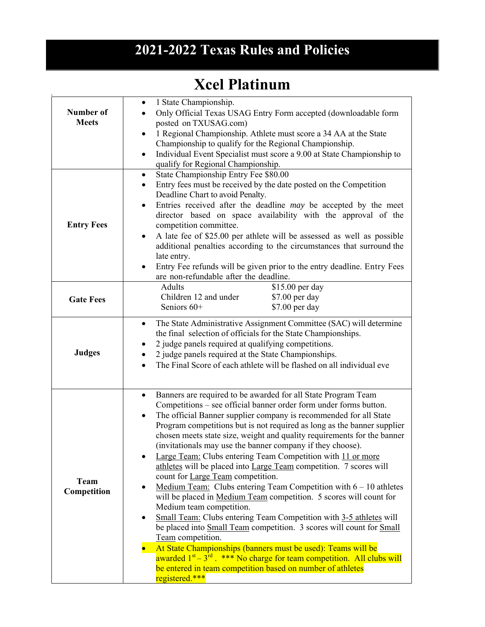## **2021-2022 Texas Rules and Policies**

## **Xcel Platinum**

| Number of<br><b>Meets</b>  | 1 State Championship.<br>$\bullet$<br>Only Official Texas USAG Entry Form accepted (downloadable form<br>posted on TXUSAG.com)<br>1 Regional Championship. Athlete must score a 34 AA at the State<br>$\bullet$<br>Championship to qualify for the Regional Championship.<br>Individual Event Specialist must score a 9.00 at State Championship to<br>$\bullet$<br>qualify for Regional Championship.                                                                                                                                                                                                                                                                                                                                                                                                                                                                                                                                                                                                                                                                                                                                                                                                                            |
|----------------------------|-----------------------------------------------------------------------------------------------------------------------------------------------------------------------------------------------------------------------------------------------------------------------------------------------------------------------------------------------------------------------------------------------------------------------------------------------------------------------------------------------------------------------------------------------------------------------------------------------------------------------------------------------------------------------------------------------------------------------------------------------------------------------------------------------------------------------------------------------------------------------------------------------------------------------------------------------------------------------------------------------------------------------------------------------------------------------------------------------------------------------------------------------------------------------------------------------------------------------------------|
| <b>Entry Fees</b>          | State Championship Entry Fee \$80.00<br>$\bullet$<br>Entry fees must be received by the date posted on the Competition<br>$\bullet$<br>Deadline Chart to avoid Penalty.<br>Entries received after the deadline may be accepted by the meet<br>٠<br>director based on space availability with the approval of the<br>competition committee.<br>A late fee of \$25.00 per athlete will be assessed as well as possible<br>$\bullet$<br>additional penalties according to the circumstances that surround the<br>late entry.<br>Entry Fee refunds will be given prior to the entry deadline. Entry Fees<br>are non-refundable after the deadline.                                                                                                                                                                                                                                                                                                                                                                                                                                                                                                                                                                                    |
| <b>Gate Fees</b>           | \$15.00 per day<br>Adults<br>Children 12 and under<br>\$7.00 per day<br>Seniors 60+<br>\$7.00 per day                                                                                                                                                                                                                                                                                                                                                                                                                                                                                                                                                                                                                                                                                                                                                                                                                                                                                                                                                                                                                                                                                                                             |
| <b>Judges</b>              | The State Administrative Assignment Committee (SAC) will determine<br>$\bullet$<br>the final selection of officials for the State Championships.<br>2 judge panels required at qualifying competitions.<br>2 judge panels required at the State Championships.<br>The Final Score of each athlete will be flashed on all individual eve                                                                                                                                                                                                                                                                                                                                                                                                                                                                                                                                                                                                                                                                                                                                                                                                                                                                                           |
| <b>Team</b><br>Competition | Banners are required to be awarded for all State Program Team<br>$\bullet$<br>Competitions – see official banner order form under forms button.<br>The official Banner supplier company is recommended for all State<br>$\bullet$<br>Program competitions but is not required as long as the banner supplier<br>chosen meets state size, weight and quality requirements for the banner<br>(invitationals may use the banner company if they choose).<br>Large Team: Clubs entering Team Competition with 11 or more<br>athletes will be placed into Large Team competition. 7 scores will<br>count for Large Team competition.<br>Medium Team: Clubs entering Team Competition with $6 - 10$ athletes<br>$\bullet$<br>will be placed in Medium Team competition. 5 scores will count for<br>Medium team competition.<br>Small Team: Clubs entering Team Competition with 3-5 athletes will<br>$\bullet$<br>be placed into Small Team competition. 3 scores will count for Small<br>Team competition.<br>At State Championships (banners must be used): Teams will be<br>awarded $1st - 3rd$ . *** No charge for team competition. All clubs will<br>be entered in team competition based on number of athletes<br>registered.*** |